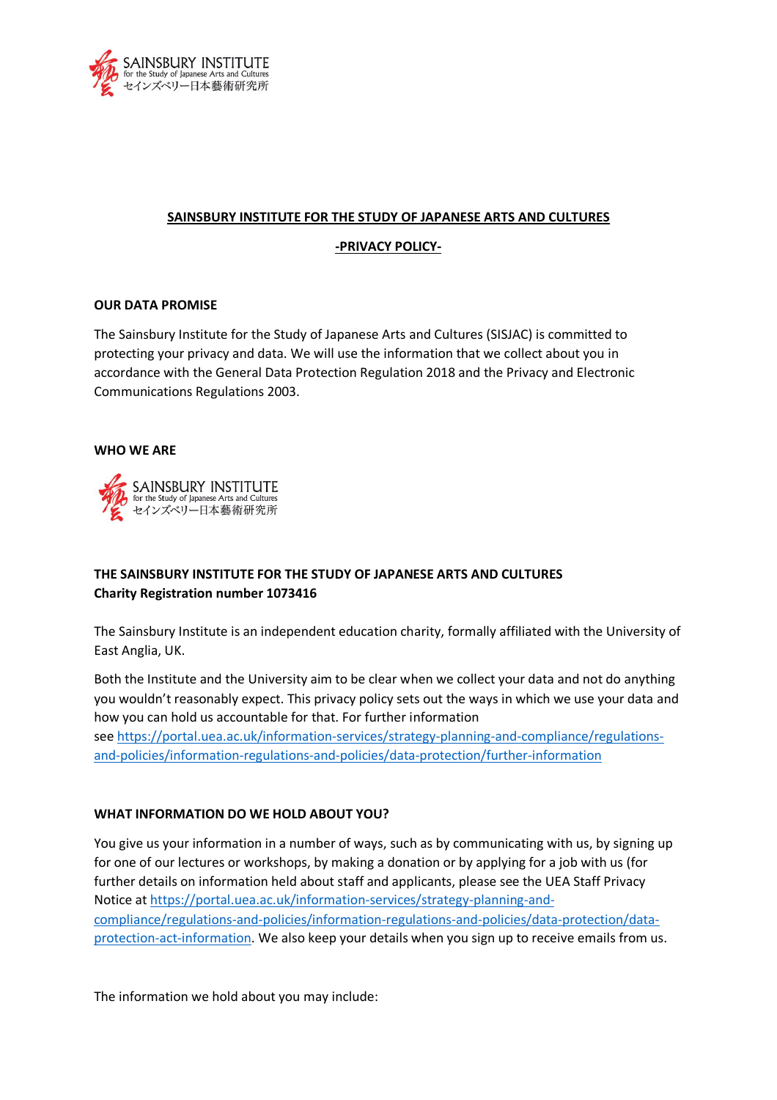

## **SAINSBURY INSTITUTE FOR THE STUDY OF JAPANESE ARTS AND CULTURES**

## **-PRIVACY POLICY-**

## **OUR DATA PROMISE**

The Sainsbury Institute for the Study of Japanese Arts and Cultures (SISJAC) is committed to protecting your privacy and data. We will use the information that we collect about you in accordance with the General Data Protection Regulation 2018 and the Privacy and Electronic Communications Regulations 2003.

## **WHO WE ARE**



# **THE SAINSBURY INSTITUTE FOR THE STUDY OF JAPANESE ARTS AND CULTURES Charity Registration number 1073416**

The Sainsbury Institute is an independent education charity, formally affiliated with the University of East Anglia, UK.

Both the Institute and the University aim to be clear when we collect your data and not do anything you wouldn't reasonably expect. This privacy policy sets out the ways in which we use your data and how you can hold us accountable for that. For further information see https://portal.uea.ac.uk/information-services/strategy-planning-and-compliance/regulationsand-policies/information-regulations-and-policies/data-protection/further-information

## **WHAT INFORMATION DO WE HOLD ABOUT YOU?**

You give us your information in a number of ways, such as by communicating with us, by signing up for one of our lectures or workshops, by making a donation or by applying for a job with us (for further details on information held about staff and applicants, please see the UEA Staff Privacy Notice at https://portal.uea.ac.uk/information-services/strategy-planning-andcompliance/regulations-and-policies/information-regulations-and-policies/data-protection/dataprotection-act-information. We also keep your details when you sign up to receive emails from us.

The information we hold about you may include: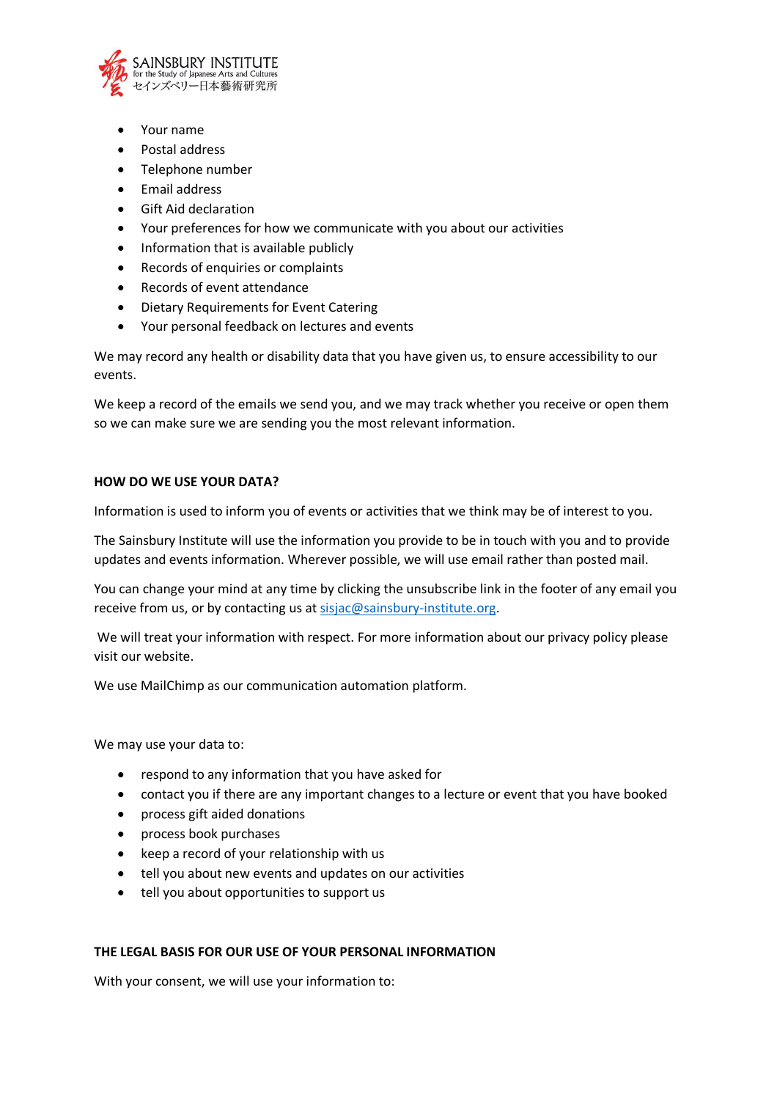

- Your name
- Postal address
- Telephone number
- Email address
- Gift Aid declaration
- Your preferences for how we communicate with you about our activities
- Information that is available publicly
- Records of enquiries or complaints
- Records of event attendance
- Dietary Requirements for Event Catering
- Your personal feedback on lectures and events

We may record any health or disability data that you have given us, to ensure accessibility to our events.

We keep a record of the emails we send you, and we may track whether you receive or open them so we can make sure we are sending you the most relevant information.

## **HOW DO WE USE YOUR DATA?**

Information is used to inform you of events or activities that we think may be of interest to you.

The Sainsbury Institute will use the information you provide to be in touch with you and to provide updates and events information. Wherever possible, we will use email rather than posted mail.

You can change your mind at any time by clicking the unsubscribe link in the footer of any email you receive from us, or by contacting us at sisjac@sainsbury-institute.org.

We will treat your information with respect. For more information about our privacy policy please visit our website.

We use MailChimp as our communication automation platform.

We may use your data to:

- respond to any information that you have asked for
- contact you if there are any important changes to a lecture or event that you have booked
- process gift aided donations
- process book purchases
- keep a record of your relationship with us
- tell you about new events and updates on our activities
- tell you about opportunities to support us

#### **THE LEGAL BASIS FOR OUR USE OF YOUR PERSONAL INFORMATION**

With your consent, we will use your information to: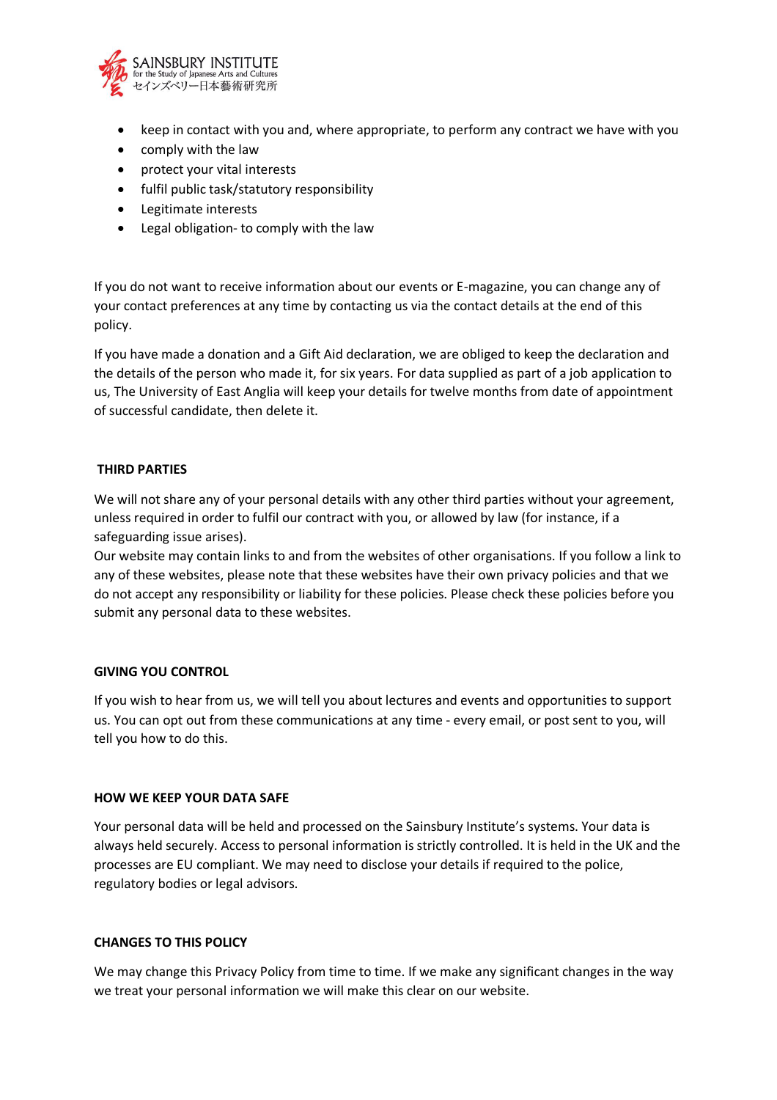

- keep in contact with you and, where appropriate, to perform any contract we have with you
- comply with the law
- protect your vital interests
- fulfil public task/statutory responsibility
- Legitimate interests
- Legal obligation- to comply with the law

If you do not want to receive information about our events or E-magazine, you can change any of your contact preferences at any time by contacting us via the contact details at the end of this policy.

If you have made a donation and a Gift Aid declaration, we are obliged to keep the declaration and the details of the person who made it, for six years. For data supplied as part of a job application to us, The University of East Anglia will keep your details for twelve months from date of appointment of successful candidate, then delete it.

## **THIRD PARTIES**

We will not share any of your personal details with any other third parties without your agreement, unless required in order to fulfil our contract with you, or allowed by law (for instance, if a safeguarding issue arises).

Our website may contain links to and from the websites of other organisations. If you follow a link to any of these websites, please note that these websites have their own privacy policies and that we do not accept any responsibility or liability for these policies. Please check these policies before you submit any personal data to these websites.

#### **GIVING YOU CONTROL**

If you wish to hear from us, we will tell you about lectures and events and opportunities to support us. You can opt out from these communications at any time - every email, or post sent to you, will tell you how to do this.

#### **HOW WE KEEP YOUR DATA SAFE**

Your personal data will be held and processed on the Sainsbury Institute's systems. Your data is always held securely. Access to personal information is strictly controlled. It is held in the UK and the processes are EU compliant. We may need to disclose your details if required to the police, regulatory bodies or legal advisors.

## **CHANGES TO THIS POLICY**

We may change this Privacy Policy from time to time. If we make any significant changes in the way we treat your personal information we will make this clear on our website.